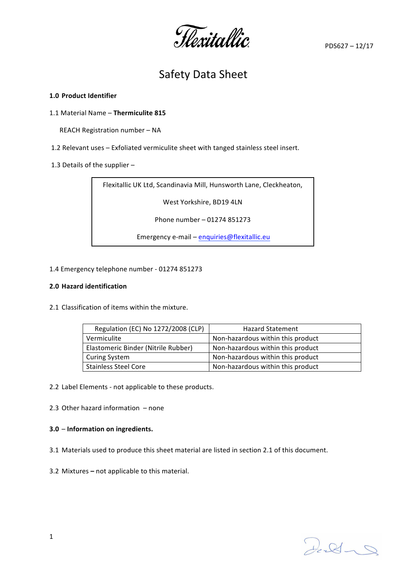Hexitallic

PDS627 – 12/17

# Safety Data Sheet

## **1.0 Product Identifier**

1.1 Material Name - Thermiculite 815

REACH Registration number - NA

- 1.2 Relevant uses Exfoliated vermiculite sheet with tanged stainless steel insert.
- 1.3 Details of the supplier  $-$

Flexitallic UK Ltd, Scandinavia Mill, Hunsworth Lane, Cleckheaton,

West Yorkshire, BD19 4LN

Phone number - 01274 851273

Emergency e-mail - enquiries@flexitallic.eu

#### 1.4 Emergency telephone number - 01274 851273

#### **2.0 Hazard identification**

2.1 Classification of items within the mixture.

| Regulation (EC) No 1272/2008 (CLP)  | <b>Hazard Statement</b>           |
|-------------------------------------|-----------------------------------|
| Vermiculite                         | Non-hazardous within this product |
| Elastomeric Binder (Nitrile Rubber) | Non-hazardous within this product |
| <b>Curing System</b>                | Non-hazardous within this product |
| <b>Stainless Steel Core</b>         | Non-hazardous within this product |

2.2 Label Elements - not applicable to these products.

2.3 Other hazard information  $-$  none

## **3.0** – **Information on ingredients.**

3.1 Materials used to produce this sheet material are listed in section 2.1 of this document.

3.2 Mixtures – not applicable to this material.

 $2d - 8$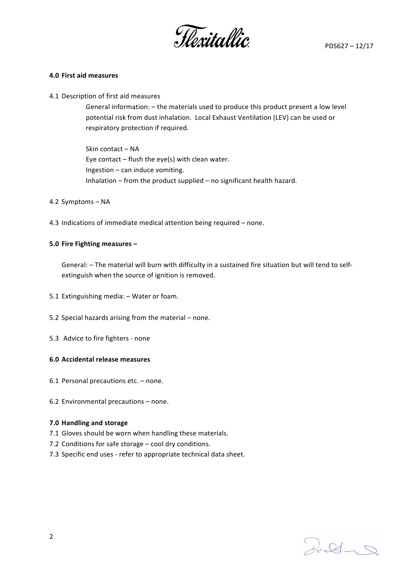

#### **4.0 First aid measures**

4.1 Description of first aid measures

General information: - the materials used to produce this product present a low level potential risk from dust inhalation. Local Exhaust Ventilation (LEV) can be used or respiratory protection if required.

Skin contact - NA Eye contact  $-$  flush the eye(s) with clean water. Ingestion  $-$  can induce vomiting. Inhalation – from the product supplied – no significant health hazard.

- 4.2 Symptoms NA
- 4.3 Indications of immediate medical attention being required  $-$  none.

#### **5.0 Fire Fighting measures -**

General: - The material will burn with difficulty in a sustained fire situation but will tend to selfextinguish when the source of ignition is removed.

- 5.1 Extinguishing media: Water or foam.
- 5.2 Special hazards arising from the material  $-$  none.
- 5.3 Advice to fire fighters none

#### **6.0 Accidental release measures**

- 6.1 Personal precautions  $etc. none.$
- 6.2 Environmental precautions  $-$  none.

#### **7.0 Handling and storage**

- 7.1 Gloves should be worn when handling these materials.
- 7.2 Conditions for safe storage  $-$  cool dry conditions.
- 7.3 Specific end uses refer to appropriate technical data sheet.

 $2.81 - 9$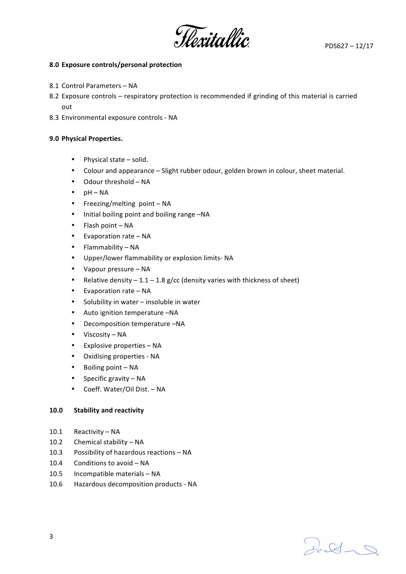

## **8.0 Exposure controls/personal protection**

- 8.1 Control Parameters NA
- 8.2 Exposure controls respiratory protection is recommended if grinding of this material is carried out
- 8.3 Environmental exposure controls NA

## **9.0 Physical Properties.**

- $\bullet$  Physical state  $-$  solid.
- Colour and appearance Slight rubber odour, golden brown in colour, sheet material.
- $\bullet$  Odour threshold  $-$  NA
- $\bullet$  pH NA
- Freezing/melting point  $NA$
- Initial boiling point and boiling range -NA
- $\bullet$  Flash point  $-NA$
- $\bullet$  Evaporation rate NA
- $\bullet$  Flammability NA
- Upper/lower flammability or explosion limits- NA
- $\bullet$  Vapour pressure NA
- Relative density  $-1.1 1.8$  g/cc (density varies with thickness of sheet)
- $\bullet$  Evaporation rate NA
- Solubility in water  $-$  insoluble in water
- Auto ignition temperature -NA
- Decomposition temperature -NA
- $\bullet$  Viscosity NA
- $\bullet$  Explosive properties  $-$  NA
- Oxidising properties NA
- $\bullet$  Boiling point  $-NA$
- Specific gravity  $NA$
- Coeff. Water/Oil Dist. NA

## 10.0 Stability and reactivity

- 10.1 Reactivity NA
- 10.2 Chemical stability NA
- 10.3 Possibility of hazardous reactions NA
- 10.4 Conditions to avoid  $NA$
- 10.5 Incompatible materials  $NA$
- 10.6 Hazardous decomposition products NA

 $2.81 - 9$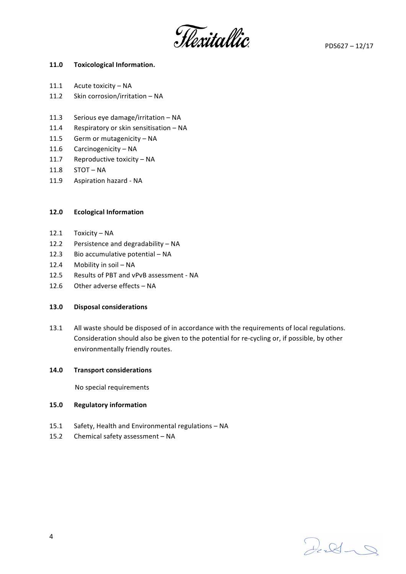Hexitallic

# 11.0 **Toxicological Information.**

- 11.1 Acute toxicity  $NA$
- 11.2 Skin corrosion/irritation NA
- 11.3 Serious eye damage/irritation  $NA$
- 11.4 Respiratory or skin sensitisation NA
- 11.5 Germ or mutagenicity NA
- 11.6 Carcinogenicity  $NA$
- 11.7 Reproductive toxicity  $NA$
- $11.8$  STOT NA
- 11.9 Aspiration hazard NA

# **12.0 Ecological Information**

- 12.1 Toxicity NA
- 12.2 Persistence and degradability NA
- 12.3 Bio accumulative potential  $NA$
- 12.4 Mobility in soil NA
- 12.5 Results of PBT and vPvB assessment NA
- 12.6 Other adverse effects  $NA$

## **13.0 Disposal considerations**

13.1 All waste should be disposed of in accordance with the requirements of local regulations. Consideration should also be given to the potential for re-cycling or, if possible, by other environmentally friendly routes.

## **14.0 Transport considerations**

**No special requirements** 

## **15.0 Regulatory information**

- 15.1 Safety, Health and Environmental regulations NA
- 15.2 Chemical safety assessment NA